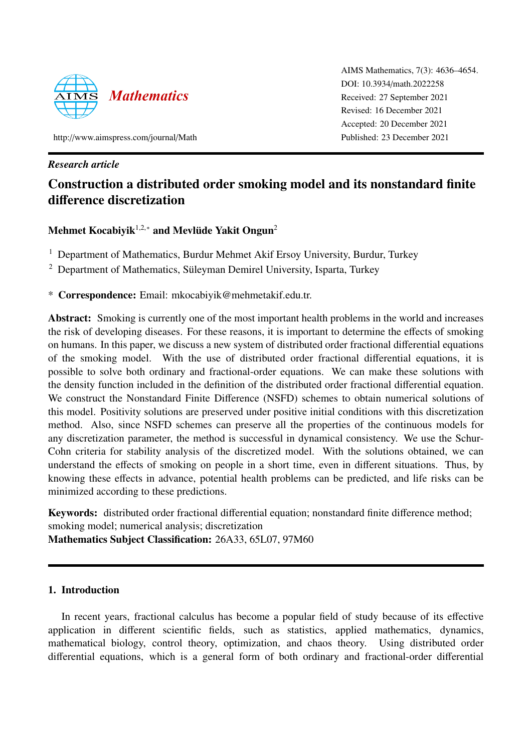

AIMS Mathematics, 7(3): 4636–4654. DOI: 10.3934/[math.2022258](http://dx.doi.org/ 10.3934/math.2022258) Received: 27 September 2021 Revised: 16 December 2021 Accepted: 20 December 2021 Published: 23 December 2021

http://[www.aimspress.com](http://www.aimspress.com/journal/Math)/journal/Math

# *Research article*

# Construction a distributed order smoking model and its nonstandard finite difference discretization

# Mehmet Kocabiyik $^{1,2,*}$  and Mevlüde Yakit Ongun $^2$

<sup>1</sup> Department of Mathematics, Burdur Mehmet Akif Ersoy University, Burdur, Turkey

<sup>2</sup> Department of Mathematics, Süleyman Demirel University, Isparta, Turkey

\* Correspondence: Email: mkocabiyik@mehmetakif.edu.tr.

Abstract: Smoking is currently one of the most important health problems in the world and increases the risk of developing diseases. For these reasons, it is important to determine the effects of smoking on humans. In this paper, we discuss a new system of distributed order fractional differential equations of the smoking model. With the use of distributed order fractional differential equations, it is possible to solve both ordinary and fractional-order equations. We can make these solutions with the density function included in the definition of the distributed order fractional differential equation. We construct the Nonstandard Finite Difference (NSFD) schemes to obtain numerical solutions of this model. Positivity solutions are preserved under positive initial conditions with this discretization method. Also, since NSFD schemes can preserve all the properties of the continuous models for any discretization parameter, the method is successful in dynamical consistency. We use the Schur-Cohn criteria for stability analysis of the discretized model. With the solutions obtained, we can understand the effects of smoking on people in a short time, even in different situations. Thus, by knowing these effects in advance, potential health problems can be predicted, and life risks can be minimized according to these predictions.

Keywords: distributed order fractional differential equation; nonstandard finite difference method; smoking model; numerical analysis; discretization Mathematics Subject Classification: 26A33, 65L07, 97M60

# 1. Introduction

In recent years, fractional calculus has become a popular field of study because of its effective application in different scientific fields, such as statistics, applied mathematics, dynamics, mathematical biology, control theory, optimization, and chaos theory. Using distributed order differential equations, which is a general form of both ordinary and fractional-order differential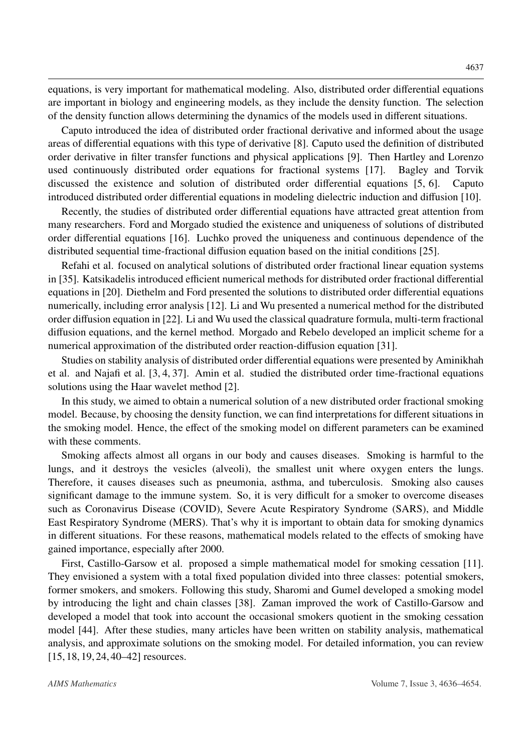equations, is very important for mathematical modeling. Also, distributed order differential equations are important in biology and engineering models, as they include the density function. The selection of the density function allows determining the dynamics of the models used in different situations.

Caputo introduced the idea of distributed order fractional derivative and informed about the usage areas of differential equations with this type of derivative [\[8\]](#page-16-0). Caputo used the definition of distributed order derivative in filter transfer functions and physical applications [\[9\]](#page-16-1). Then Hartley and Lorenzo used continuously distributed order equations for fractional systems [\[17\]](#page-16-2). Bagley and Torvik discussed the existence and solution of distributed order differential equations [\[5,](#page-16-3) [6\]](#page-16-4). Caputo introduced distributed order differential equations in modeling dielectric induction and diffusion [\[10\]](#page-16-5).

Recently, the studies of distributed order differential equations have attracted great attention from many researchers. Ford and Morgado studied the existence and uniqueness of solutions of distributed order differential equations [\[16\]](#page-16-6). Luchko proved the uniqueness and continuous dependence of the distributed sequential time-fractional diffusion equation based on the initial conditions [\[25\]](#page-17-0).

Refahi et al. focused on analytical solutions of distributed order fractional linear equation systems in [\[35\]](#page-17-1). Katsikadelis introduced efficient numerical methods for distributed order fractional differential equations in [\[20\]](#page-16-7). Diethelm and Ford presented the solutions to distributed order differential equations numerically, including error analysis [\[12\]](#page-16-8). Li and Wu presented a numerical method for the distributed order diffusion equation in [\[22\]](#page-17-2). Li and Wu used the classical quadrature formula, multi-term fractional diffusion equations, and the kernel method. Morgado and Rebelo developed an implicit scheme for a numerical approximation of the distributed order reaction-diffusion equation [\[31\]](#page-17-3).

Studies on stability analysis of distributed order differential equations were presented by Aminikhah et al. and Najafi et al. [\[3,](#page-15-0) [4,](#page-15-1) [37\]](#page-18-0). Amin et al. studied the distributed order time-fractional equations solutions using the Haar wavelet method [\[2\]](#page-15-2).

In this study, we aimed to obtain a numerical solution of a new distributed order fractional smoking model. Because, by choosing the density function, we can find interpretations for different situations in the smoking model. Hence, the effect of the smoking model on different parameters can be examined with these comments.

Smoking affects almost all organs in our body and causes diseases. Smoking is harmful to the lungs, and it destroys the vesicles (alveoli), the smallest unit where oxygen enters the lungs. Therefore, it causes diseases such as pneumonia, asthma, and tuberculosis. Smoking also causes significant damage to the immune system. So, it is very difficult for a smoker to overcome diseases such as Coronavirus Disease (COVID), Severe Acute Respiratory Syndrome (SARS), and Middle East Respiratory Syndrome (MERS). That's why it is important to obtain data for smoking dynamics in different situations. For these reasons, mathematical models related to the effects of smoking have gained importance, especially after 2000.

First, Castillo-Garsow et al. proposed a simple mathematical model for smoking cessation [\[11\]](#page-16-9). They envisioned a system with a total fixed population divided into three classes: potential smokers, former smokers, and smokers. Following this study, Sharomi and Gumel developed a smoking model by introducing the light and chain classes [\[38\]](#page-18-1). Zaman improved the work of Castillo-Garsow and developed a model that took into account the occasional smokers quotient in the smoking cessation model [\[44\]](#page-18-2). After these studies, many articles have been written on stability analysis, mathematical analysis, and approximate solutions on the smoking model. For detailed information, you can review [\[15,](#page-16-10) [18,](#page-16-11) [19,](#page-16-12) [24,](#page-17-4) [40–](#page-18-3)[42\]](#page-18-4) resources.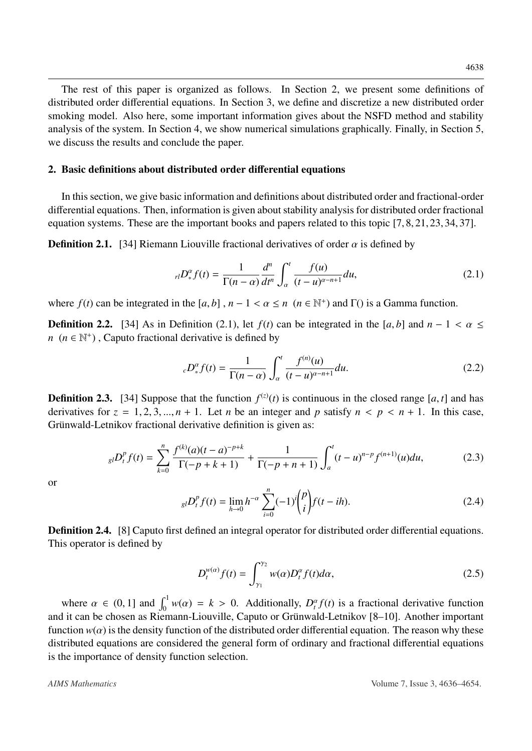The rest of this paper is organized as follows. In Section 2, we present some definitions of distributed order differential equations. In Section 3, we define and discretize a new distributed order smoking model. Also here, some important information gives about the NSFD method and stability analysis of the system. In Section 4, we show numerical simulations graphically. Finally, in Section 5, we discuss the results and conclude the paper.

## 2. Basic definitions about distributed order differential equations

In this section, we give basic information and definitions about distributed order and fractional-order differential equations. Then, information is given about stability analysis for distributed order fractional equation systems. These are the important books and papers related to this topic [\[7,](#page-16-13) [8,](#page-16-0) [21,](#page-17-5) [23,](#page-17-6) [34,](#page-17-7) [37\]](#page-18-0).

<span id="page-2-0"></span>**Definition 2.1.** [\[34\]](#page-17-7) Riemann Liouville fractional derivatives of order  $\alpha$  is defined by

$$
_{rl}D_{\ast}^{\alpha}f(t)=\frac{1}{\Gamma(n-\alpha)}\frac{d^{n}}{dt^{n}}\int_{\alpha}^{t}\frac{f(u)}{(t-u)^{\alpha-n+1}}du,
$$
\n(2.1)

where  $f(t)$  can be integrated in the  $[a, b]$ ,  $n - 1 < \alpha \le n \ (n \in \mathbb{N}^+)$  and  $\Gamma()$  is a Gamma function.

**Definition 2.2.** [\[34\]](#page-17-7) As in Definition [\(2.1\)](#page-2-0), let  $f(t)$  can be integrated in the [a, b] and  $n - 1 < \alpha \le$  $n \ (n \in \mathbb{N}^+)$ , Caputo fractional derivative is defined by

$$
{}_{c}D_{*}^{\alpha}f(t) = \frac{1}{\Gamma(n-\alpha)} \int_{\alpha}^{t} \frac{f^{(n)}(u)}{(t-u)^{\alpha-n+1}} du.
$$
 (2.2)

**Definition 2.3.** [\[34\]](#page-17-7) Suppose that the function  $f^{(z)}(t)$  is continuous in the closed range [*a*, *t*] and has derivatives for  $z = 1, 2, 3, \ldots, n + 1$ . Let *n* be an integer and *n* satisfy  $n \le n \le n + 1$ . In this case derivatives for  $z = 1, 2, 3, ..., n + 1$ . Let *n* be an integer and *p* satisfy  $n < p < n + 1$ . In this case, Grünwald-Letnikov fractional derivative definition is given as:

$$
_{gl}D_t^p f(t) = \sum_{k=0}^n \frac{f^{(k)}(a)(t-a)^{-p+k}}{\Gamma(-p+k+1)} + \frac{1}{\Gamma(-p+n+1)} \int_a^t (t-u)^{n-p} f^{(n+1)}(u) du,
$$
 (2.3)

or

$$
_{gl}D_{t}^{p}f(t) = \lim_{h \to 0} h^{-\alpha} \sum_{i=0}^{n} (-1)^{i} {p \choose i} f(t - ih).
$$
 (2.4)

**Definition 2.4.** [\[8\]](#page-16-0) Caputo first defined an integral operator for distributed order differential equations. This operator is defined by

$$
D_t^{w(\alpha)}f(t) = \int_{\gamma_1}^{\gamma_2} w(\alpha)D_t^{\alpha}f(t)d\alpha,
$$
\n(2.5)

where  $\alpha \in (0, 1]$  and  $\int_0^1 w(\alpha) = k > 0$ . Additionally,  $D_t^{\alpha} f(t)$  is a fractional derivative function<br>is the chosen as Pierrann Liquida Caputo or Grinwald Letnikov [8, 10]. Another important and it can be chosen as Riemann-Liouville, Caputo or Grünwald-Letnikov [[8](#page-16-0)[–10\]](#page-16-5). Another important function  $w(\alpha)$  is the density function of the distributed order differential equation. The reason why these distributed equations are considered the general form of ordinary and fractional differential equations is the importance of density function selection.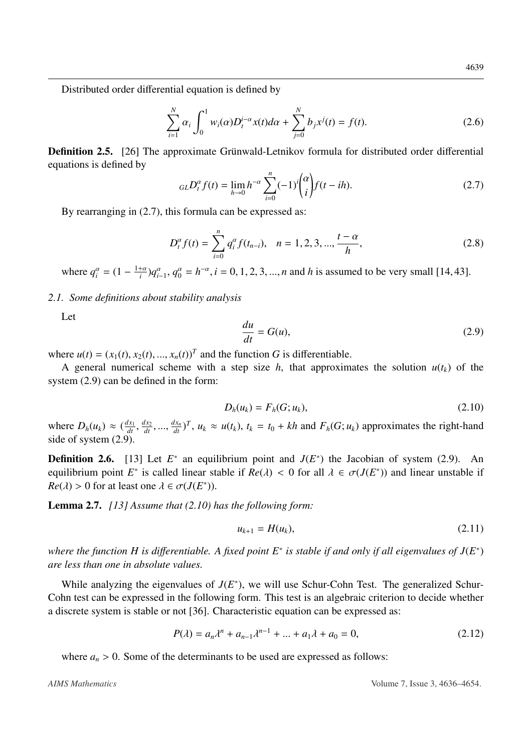Distributed order differential equation is defined by

$$
\sum_{i=1}^{N} \alpha_i \int_0^1 w_i(\alpha) D_t^{i-\alpha} x(t) d\alpha + \sum_{j=0}^{N} b_j x^j(t) = f(t).
$$
 (2.6)

**Definition 2.5.** [\[26\]](#page-17-8) The approximate Grünwald-Letnikov formula for distributed order differential equations is defined by

<span id="page-3-0"></span>
$$
_{GL}D_t^{\alpha}f(t) = \lim_{h \to 0} h^{-\alpha} \sum_{i=0}^n (-1)^i \binom{\alpha}{i} f(t - ih). \tag{2.7}
$$

By rearranging in  $(2.7)$ , this formula can be expressed as:

<span id="page-3-3"></span>
$$
D_t^{\alpha} f(t) = \sum_{i=0}^n q_i^{\alpha} f(t_{n-i}), \quad n = 1, 2, 3, ..., \frac{t - \alpha}{h}, \tag{2.8}
$$

where  $q_i^{\alpha} = (1 - \frac{1+\alpha}{i})q_{i-1}^{\alpha}, q_0^{\alpha} = h^{-\alpha}, i = 0, 1, 2, 3, ..., n$  and *h* is assumed to be very small [\[14,](#page-16-14) [43\]](#page-18-5).

# *2.1. Some definitions about stability analysis*

Let

<span id="page-3-1"></span>
$$
\frac{du}{dt} = G(u),\tag{2.9}
$$

where  $u(t) = (x_1(t), x_2(t), ..., x_n(t))^T$  and the function *G* is differentiable.<br>A general numerical scheme with a step size *h* that approxim

A general numerical scheme with a step size  $h$ , that approximates the solution  $u(t_k)$  of the system [\(2.9\)](#page-3-1) can be defined in the form:

<span id="page-3-2"></span>
$$
D_h(u_k) = F_h(G; u_k),
$$
\n(2.10)

where  $D_h(u_k) \approx \left(\frac{dx_1}{dt}\right)$ *dt* ,<br>)\ *dx*<sup>2</sup> *dt* , ...,  $\frac{dx_n}{dt}$ ,  $T$ ,  $u_k \approx u(t_k)$ ,  $t_k = t_0 + kh$  and  $F_h(G; u_k)$  approximates the right-hand side of system [\(2.9\)](#page-3-1).

**Definition 2.6.** [\[13\]](#page-16-15) Let  $E^*$  an equilibrium point and  $J(E^*)$  the Jacobian of system [\(2.9\)](#page-3-1). An equilibrium point *E*<sup>\*</sup> is called linear stable if  $Re(\lambda) < 0$  for all  $\lambda \in \sigma(J(E^*))$  and linear unstable if  $Re(\lambda) > 0$  for at least one  $\lambda \in \sigma(J(E^*))$  $Re(\lambda) > 0$  for at least one  $\lambda \in \sigma(J(E^*)).$ 

<span id="page-3-4"></span>Lemma 2.7. *[\[13\]](#page-16-15) Assume that [\(2.10\)](#page-3-2) has the following form:*

$$
u_{k+1} = H(u_k), \tag{2.11}
$$

*where the function H is di*ff*erentiable. A fixed point E*<sup>∗</sup> *is stable if and only if all eigenvalues of J*(*E* ∗ ) *are less than one in absolute values.*

While analyzing the eigenvalues of  $J(E^*)$ , we will use Schur-Cohn Test. The generalized Schur-Cohn test can be expressed in the following form. This test is an algebraic criterion to decide whether a discrete system is stable or not [\[36\]](#page-18-6). Characteristic equation can be expressed as:

$$
P(\lambda) = a_n \lambda^n + a_{n-1} \lambda^{n-1} + \dots + a_1 \lambda + a_0 = 0,
$$
 (2.12)

where  $a_n > 0$ . Some of the determinants to be used are expressed as follows: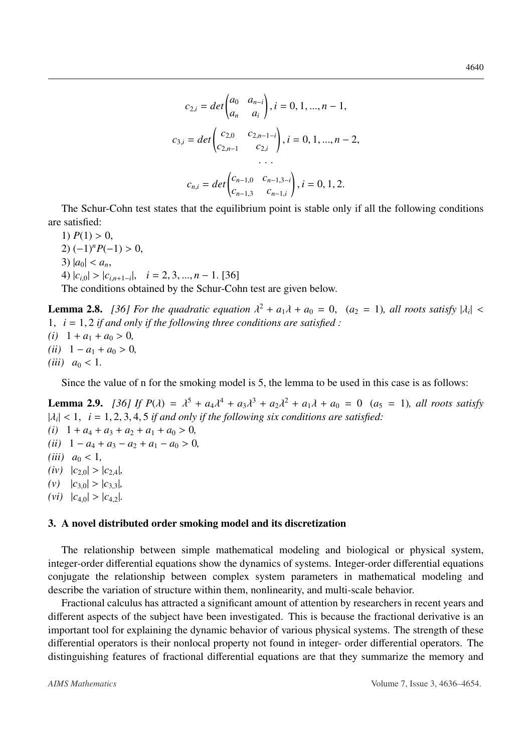$$
c_{2,i} = det \begin{pmatrix} a_0 & a_{n-i} \\ a_n & a_i \end{pmatrix}, i = 0, 1, ..., n - 1,
$$
  
\n
$$
c_{3,i} = det \begin{pmatrix} c_{2,0} & c_{2,n-1-i} \\ c_{2,n-1} & c_{2,i} \end{pmatrix}, i = 0, 1, ..., n - 2,
$$
  
\n...  
\n
$$
c_{n,i} = det \begin{pmatrix} c_{n-1,0} & c_{n-1,3-i} \\ c_{n-1,3} & c_{n-1,i} \end{pmatrix}, i = 0, 1, 2.
$$

The Schur-Cohn test states that the equilibrium point is stable only if all the following conditions are satisfied:

1)  $P(1) > 0$ , 2)  $(-1)^n P(-1) > 0$ , 3)  $|a_0| < a_n$ ,  $|c_{i,0}| > |c_{i,n+1-i}|, i = 2, 3, ..., n-1$ . [\[36\]](#page-18-6) The conditions obtained by the Schur-Cohn test are given below.

<span id="page-4-0"></span>**Lemma 2.8.** [\[36\]](#page-18-6) For the quadratic equation  $\lambda^2 + a_1\lambda + a_0 = 0$ ,  $(a_2 = 1)$ , all roots satisfy  $|\lambda_i| <$ <br>1.  $i = 1, 2$  if and only if the following three conditions are satisfied: <sup>1</sup>, *<sup>i</sup>* <sup>=</sup> <sup>1</sup>, <sup>2</sup> *if and only if the following three conditions are satisfied :*

 $(i)$  1 +  $a_1$  +  $a_0$  > 0*,*  $(iii)$  1 −  $a_1 + a_0 > 0$ *, (iii)*  $a_0 < 1$ .

Since the value of n for the smoking model is 5, the lemma to be used in this case is as follows:

<span id="page-4-1"></span>**Lemma 2.9.** *[\[36\]](#page-18-6) If P(* $\lambda$ *)* =  $\lambda^5 + a_4\lambda^4 + a_3\lambda^3 + a_2\lambda^2 + a_1\lambda + a_0 = 0$  ( $a_5 = 1$ ), all roots satisfy<br> $\lambda \ge 1$ ,  $i = 1, 2, 3, 4, 5$  if and only if the following six conditions are satisfied.  $|\lambda_i| < 1$ ,  $i = 1, 2, 3, 4, 5$  *if and only if the following six conditions are satisfied:*<br>(*i*)  $1 + a_1 + a_2 + a_3 + a_4 + a_5 > 0$  $(i)$  1 +  $a_4$  +  $a_3$  +  $a_2$  +  $a_1$  +  $a_0$  > 0*,*  $(ii)$  1 −  $a_4$  +  $a_3$  −  $a_2$  +  $a_1$  −  $a_0$  > 0*, (iii)*  $a_0 < 1$ ,  $(iv)$   $|c_{2,0}| > |c_{2,4}|$  $(v)$   $|c_{3,0}| > |c_{3,3}|$  $(vi)$   $|c_{4,0}| > |c_{4,2}|$ .

### 3. A novel distributed order smoking model and its discretization

The relationship between simple mathematical modeling and biological or physical system, integer-order differential equations show the dynamics of systems. Integer-order differential equations conjugate the relationship between complex system parameters in mathematical modeling and describe the variation of structure within them, nonlinearity, and multi-scale behavior.

Fractional calculus has attracted a significant amount of attention by researchers in recent years and different aspects of the subject have been investigated. This is because the fractional derivative is an important tool for explaining the dynamic behavior of various physical systems. The strength of these differential operators is their nonlocal property not found in integer- order differential operators. The distinguishing features of fractional differential equations are that they summarize the memory and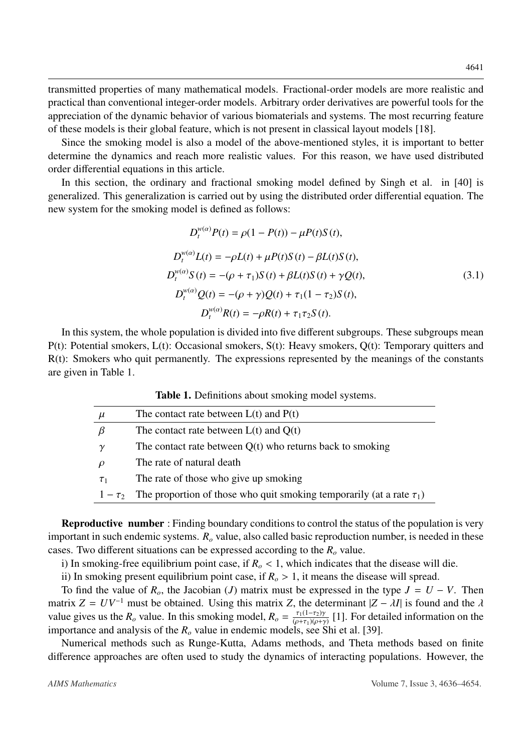transmitted properties of many mathematical models. Fractional-order models are more realistic and practical than conventional integer-order models. Arbitrary order derivatives are powerful tools for the appreciation of the dynamic behavior of various biomaterials and systems. The most recurring feature of these models is their global feature, which is not present in classical layout models [\[18\]](#page-16-11).

Since the smoking model is also a model of the above-mentioned styles, it is important to better determine the dynamics and reach more realistic values. For this reason, we have used distributed order differential equations in this article.

In this section, the ordinary and fractional smoking model defined by Singh et al. in [\[40\]](#page-18-3) is generalized. This generalization is carried out by using the distributed order differential equation. The new system for the smoking model is defined as follows:

$$
D_t^{w(\alpha)}P(t) = \rho(1 - P(t)) - \mu P(t)S(t),
$$
  
\n
$$
D_t^{w(\alpha)}L(t) = -\rho L(t) + \mu P(t)S(t) - \beta L(t)S(t),
$$
  
\n
$$
D_t^{w(\alpha)}S(t) = -(\rho + \tau_1)S(t) + \beta L(t)S(t) + \gamma Q(t),
$$
  
\n
$$
D_t^{w(\alpha)}Q(t) = -(\rho + \gamma)Q(t) + \tau_1(1 - \tau_2)S(t),
$$
  
\n
$$
D_t^{w(\alpha)}R(t) = -\rho R(t) + \tau_1 \tau_2 S(t).
$$
\n(3.1)

In this system, the whole population is divided into five different subgroups. These subgroups mean P(t): Potential smokers, L(t): Occasional smokers, S(t): Heavy smokers, Q(t): Temporary quitters and  $R(t)$ : Smokers who quit permanently. The expressions represented by the meanings of the constants are given in Table [1.](#page-5-0)

| Table 1. Definitions about smoking model systems. |  |  |  |  |  |
|---------------------------------------------------|--|--|--|--|--|
|---------------------------------------------------|--|--|--|--|--|

<span id="page-5-0"></span>

| $\mu$    | The contact rate between $L(t)$ and $P(t)$                                              |
|----------|-----------------------------------------------------------------------------------------|
|          | The contact rate between $L(t)$ and $Q(t)$                                              |
|          | The contact rate between $Q(t)$ who returns back to smoking                             |
|          | The rate of natural death                                                               |
| $\tau_1$ | The rate of those who give up smoking                                                   |
|          | $1 - \tau_2$ The proportion of those who quit smoking temporarily (at a rate $\tau_1$ ) |
|          |                                                                                         |

Reproductive number : Finding boundary conditions to control the status of the population is very important in such endemic systems. *R<sup>o</sup>* value, also called basic reproduction number, is needed in these cases. Two different situations can be expressed according to the *R<sup>o</sup>* value.

i) In smoking-free equilibrium point case, if  $R<sub>o</sub> < 1$ , which indicates that the disease will die.

ii) In smoking present equilibrium point case, if  $R<sub>o</sub> > 1$ , it means the disease will spread.

To find the value of  $R$ <sup>*o*</sup>, the Jacobian (*J*) matrix must be expressed in the type  $J = U - V$ . Then matrix  $Z = UV^{-1}$  must be obtained. Using this matrix *Z*, the determinant  $|Z - \lambda I|$  is found and the  $\lambda$ value gives us the  $R_o$  value. In this smoking model,  $R_o = \frac{\tau_1(1-\tau_2)\gamma_1}{(o+\tau_1)(o+\tau_2)}$  $\frac{r_1(1-r_2)y}{(p+r_1)(p+p)}$  [\[1\]](#page-15-3). For detailed information on the  $\frac{r_1}{(p+r_2)(p+r_3)}$ importance and analysis of the  $R_o$  value in endemic models, see Shi et al. [\[39\]](#page-18-7).

Numerical methods such as Runge-Kutta, Adams methods, and Theta methods based on finite difference approaches are often used to study the dynamics of interacting populations. However, the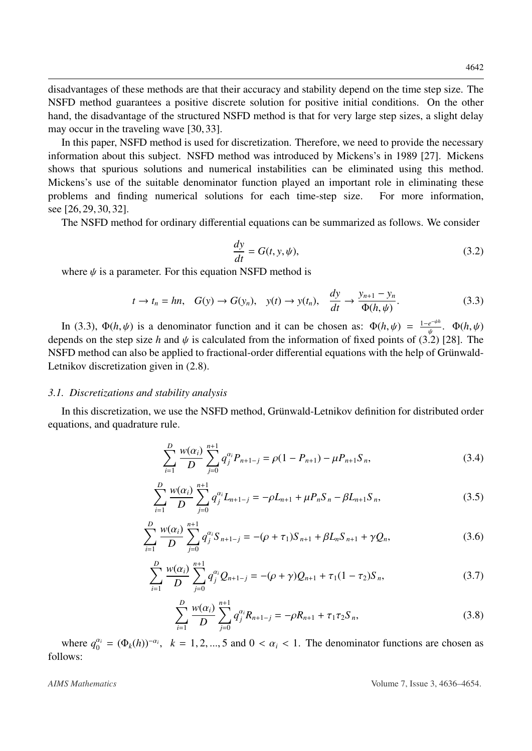disadvantages of these methods are that their accuracy and stability depend on the time step size. The NSFD method guarantees a positive discrete solution for positive initial conditions. On the other hand, the disadvantage of the structured NSFD method is that for very large step sizes, a slight delay may occur in the traveling wave [\[30,](#page-17-9) [33\]](#page-17-10).

In this paper, NSFD method is used for discretization. Therefore, we need to provide the necessary information about this subject. NSFD method was introduced by Mickens's in 1989 [\[27\]](#page-17-11). Mickens shows that spurious solutions and numerical instabilities can be eliminated using this method. Mickens's use of the suitable denominator function played an important role in eliminating these problems and finding numerical solutions for each time-step size. For more information, see [\[26,](#page-17-8) [29,](#page-17-12) [30,](#page-17-9) [32\]](#page-17-13).

The NSFD method for ordinary differential equations can be summarized as follows. We consider

<span id="page-6-1"></span>
$$
\frac{dy}{dt} = G(t, y, \psi),\tag{3.2}
$$

where  $\psi$  is a parameter. For this equation NSFD method is

<span id="page-6-0"></span>
$$
t \to t_n = hn, \quad G(y) \to G(y_n), \quad y(t) \to y(t_n), \quad \frac{dy}{dt} \to \frac{y_{n+1} - y_n}{\Phi(h, \psi)}.
$$
 (3.3)

In [\(3.3\)](#page-6-0),  $\Phi(h, \psi)$  is a denominator function and it can be chosen as:  $\Phi(h, \psi) = \frac{1-e^{-\psi h}}{\psi}$ .  $\Phi(h, \psi)$ <br>pends on the step size h and  $\psi$  is calculated from the information of fixed points of (3.2) [28]. The depends on the step size *h* and  $\psi$  is calculated from the information of fixed points of [\(3.2\)](#page-6-1) [\[28\]](#page-17-14). The<br>NSED method can also be applied to fractional-order differential equations with the belp of Grünwald-NSFD method can also be applied to fractional-order differential equations with the help of Grünwald-Letnikov discretization given in [\(2.8\)](#page-3-3).

#### *3.1. Discretizations and stability analysis*

In this discretization, we use the NSFD method, Grünwald-Letnikov definition for distributed order equations, and quadrature rule.

<span id="page-6-2"></span>
$$
\sum_{i=1}^{D} \frac{w(\alpha_i)}{D} \sum_{j=0}^{n+1} q_j^{\alpha_i} P_{n+1-j} = \rho (1 - P_{n+1}) - \mu P_{n+1} S_n,
$$
\n(3.4)

<span id="page-6-3"></span>
$$
\sum_{i=1}^{D} \frac{w(\alpha_i)}{D} \sum_{j=0}^{n+1} q_j^{\alpha_i} L_{n+1-j} = -\rho L_{n+1} + \mu P_n S_n - \beta L_{n+1} S_n,
$$
\n(3.5)

$$
\sum_{i=1}^{D} \frac{w(\alpha_i)}{D} \sum_{j=0}^{n+1} q_j^{\alpha_j} S_{n+1-j} = -(\rho + \tau_1) S_{n+1} + \beta L_n S_{n+1} + \gamma Q_n, \qquad (3.6)
$$

$$
\sum_{i=1}^{D} \frac{w(\alpha_i)}{D} \sum_{j=0}^{n+1} q_j^{\alpha_j} Q_{n+1-j} = -(\rho + \gamma) Q_{n+1} + \tau_1 (1 - \tau_2) S_n,
$$
\n(3.7)

<span id="page-6-4"></span>
$$
\sum_{i=1}^{D} \frac{w(\alpha_i)}{D} \sum_{j=0}^{n+1} q_j^{\alpha_i} R_{n+1-j} = -\rho R_{n+1} + \tau_1 \tau_2 S_n,
$$
\n(3.8)

where  $q_0^{\alpha_i} = (\Phi_k(h))^{-\alpha_i}$ ,  $k = 1, 2, ..., 5$  and  $0 < \alpha_i < 1$ . The denominator functions are chosen as follows: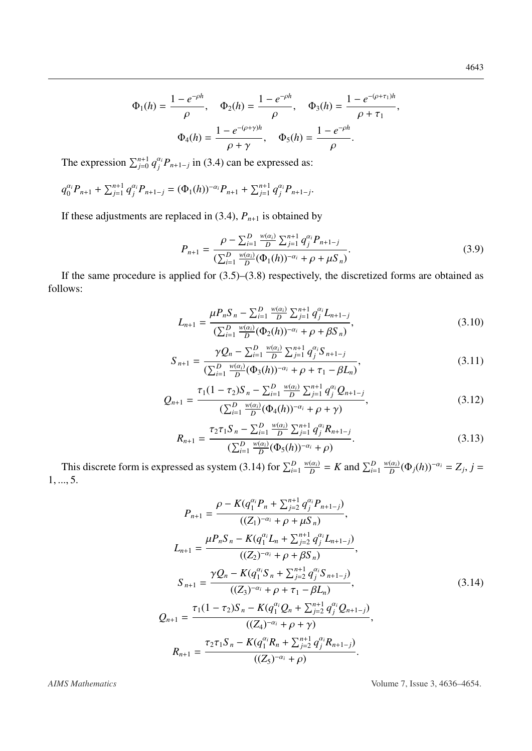$$
\Phi_1(h) = \frac{1 - e^{-\rho h}}{\rho}, \quad \Phi_2(h) = \frac{1 - e^{-\rho h}}{\rho}, \quad \Phi_3(h) = \frac{1 - e^{-(\rho + \tau_1)h}}{\rho + \tau_1},
$$

$$
\Phi_4(h) = \frac{1 - e^{-(\rho + \gamma)h}}{\rho + \gamma}, \quad \Phi_5(h) = \frac{1 - e^{-\rho h}}{\rho}.
$$

The expression  $\sum_{j=0}^{n+1} q_j^{\alpha_j} P_{n+1-j}$  in [\(3.4\)](#page-6-2) can be expressed as:

$$
q_0^{\alpha_i}P_{n+1} + \sum_{j=1}^{n+1} q_j^{\alpha_i}P_{n+1-j} = (\Phi_1(h))^{-\alpha_i}P_{n+1} + \sum_{j=1}^{n+1} q_j^{\alpha_i}P_{n+1-j}.
$$

If these adjustments are replaced in  $(3.4)$ ,  $P_{n+1}$  is obtained by

$$
P_{n+1} = \frac{\rho - \sum_{i=1}^{D} \frac{w(\alpha_i)}{D} \sum_{j=1}^{n+1} q_j^{\alpha_i} P_{n+1-j}}{(\sum_{i=1}^{D} \frac{w(\alpha_i)}{D} (\Phi_1(h))^{-\alpha_i} + \rho + \mu S_n)}.
$$
(3.9)

If the same procedure is applied for [\(3.5\)](#page-6-3)–[\(3.8\)](#page-6-4) respectively, the discretized forms are obtained as follows:

$$
L_{n+1} = \frac{\mu P_n S_n - \sum_{i=1}^D \frac{w(\alpha_i)}{D} \sum_{j=1}^{n+1} q_j^{\alpha_i} L_{n+1-j}}{(\sum_{i=1}^D \frac{w(\alpha_i)}{D} (\Phi_2(h))^{-\alpha_i} + \rho + \beta S_n)},
$$
(3.10)

$$
S_{n+1} = \frac{\gamma Q_n - \sum_{i=1}^D \frac{w(\alpha_i)}{D} \sum_{j=1}^{n+1} q_j^{\alpha_i} S_{n+1-j}}{(\sum_{i=1}^D \frac{w(\alpha_i)}{D} (\Phi_3(h))^{-\alpha_i} + \rho + \tau_1 - \beta L_n)},
$$
(3.11)

$$
Q_{n+1} = \frac{\tau_1 (1 - \tau_2) S_n - \sum_{i=1}^D \frac{w(\alpha_i)}{D} \sum_{j=1}^{n+1} q_j^{\alpha_i} Q_{n+1-j}}{(\sum_{i=1}^D \frac{w(\alpha_i)}{D} (\Phi_4(h))^{-\alpha_i} + \rho + \gamma)},
$$
(3.12)

$$
R_{n+1} = \frac{\tau_2 \tau_1 S_n - \sum_{i=1}^D \frac{w(\alpha_i)}{D} \sum_{j=1}^{n+1} q_j^{\alpha_j} R_{n+1-j}}{(\sum_{i=1}^D \frac{w(\alpha_i)}{D} (\Phi_5(h))^{-\alpha_i} + \rho)}.
$$
(3.13)

This discrete form is expressed as system [\(3.14\)](#page-7-0) for  $\sum_{i=1}^{D} \frac{w(\alpha_i)}{D} = K$  and  $\sum_{i=1}^{D} \frac{w(\alpha_i)}{D} (\Phi_j(h))^{-\alpha_i} = Z_j$ ,  $j = 5$ <sup>1</sup>, ..., 5.

<span id="page-7-0"></span>
$$
P_{n+1} = \frac{\rho - K(q_1^{\alpha_i} P_n + \sum_{j=2}^{n+1} q_j^{\alpha_j} P_{n+1-j})}{((Z_1)^{-\alpha_i} + \rho + \mu S_n)},
$$
  
\n
$$
L_{n+1} = \frac{\mu P_n S_n - K(q_1^{\alpha_i} L_n + \sum_{j=2}^{n+1} q_j^{\alpha_j} L_{n+1-j})}{((Z_2)^{-\alpha_i} + \rho + \beta S_n)},
$$
  
\n
$$
S_{n+1} = \frac{\gamma Q_n - K(q_1^{\alpha_i} S_n + \sum_{j=2}^{n+1} q_j^{\alpha_j} S_{n+1-j})}{((Z_3)^{-\alpha_i} + \rho + \tau_1 - \beta L_n)},
$$
  
\n
$$
Q_{n+1} = \frac{\tau_1 (1 - \tau_2) S_n - K(q_1^{\alpha_i} Q_n + \sum_{j=2}^{n+1} q_j^{\alpha_j} Q_{n+1-j})}{((Z_4)^{-\alpha_i} + \rho + \gamma)},
$$
  
\n
$$
R_{n+1} = \frac{\tau_2 \tau_1 S_n - K(q_1^{\alpha_i} R_n + \sum_{j=2}^{n+1} q_j^{\alpha_j} R_{n+1-j})}{((Z_5)^{-\alpha_i} + \rho)}.
$$
  
\n(25)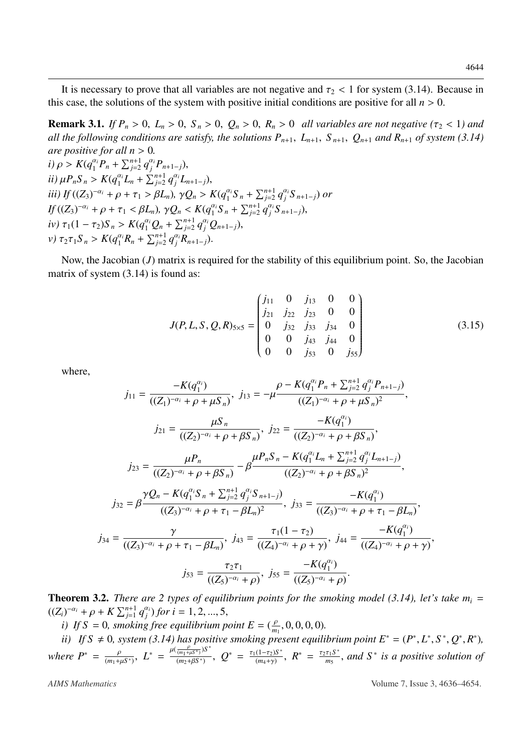It is necessary to prove that all variables are not negative and  $\tau_2$  < 1 for system [\(3.14\)](#page-7-0). Because in this case, the solutions of the system with positive initial conditions are positive for all  $n > 0$ .

<span id="page-8-0"></span>**Remark 3.1.** *If*  $P_n > 0$ ,  $L_n > 0$ ,  $S_n > 0$ ,  $Q_n > 0$ ,  $R_n > 0$  *all variables are not negative* ( $\tau_2 < 1$ ) *and all the following conditions are satisfy, the solutions*  $P_{n+1}$ ,  $L_{n+1}$ ,  $S_{n+1}$ ,  $Q_{n+1}$  *and*  $R_{n+1}$  *of system* [\(3.14\)](#page-7-0) *are positive for all*  $n > 0$ *.* 

*i*)  $\rho > K(q_1^{\alpha_i}P_n + \sum_{j=2}^{n+1} q_j^{\alpha_j}P_{n+1-j}),$ <br>  $\cdots$   $P_n S_n$ ,  $K(q_i^{\alpha_i}I_n + \sum_{j=2}^{n+1} q_j^{\alpha_j}P_{n+1-j})$ *ii*)  $\mu P_n S_n > K(q_1^{\alpha_i} L_n + \sum_{j=2}^{n+1} q_j^{\alpha_j} L_{n+1-j}),$ <br>*iii*)  $K/(Z)^{-\alpha_i}$  is a k =  $S$  and  $S$  in  $Q_s > 0$ iii) If  $((Z_3)^{-\alpha_i} + \rho + \tau_1 > \beta L_n)$ ,  $\gamma Q_n > K(q_1^{\alpha_i} S_n + \sum_{j=2}^{n+1} q_j^{\alpha_i} S_{n+1-j})$  or  $\iint_{\mathcal{D}} ((Z_3)^{-\alpha_i} + \rho + \tau_1 \leq \beta L_n), \ \gamma Q_n \leq K(q_1^{\alpha_i} S_n + \sum_{j=2}^{n+1} q_j^{\alpha_i} S_{n+1-j}),$ <br>  $\iint_{\mathcal{D}} ((Z_3)^{-\alpha_i} + \rho + \tau_1 \leq \beta L_n) \mathcal{L}(\mathcal{D}) \leq \sum_{j=1}^{n+1} \mathcal{L}(\mathcal{D})$  $i\mathbf{v}$ )  $\tau_1(1-\tau_2)S_n > K(q_1^{\alpha_i}Q_n + \sum_{j=2}^{n+1} q_j^{\alpha_j}Q_{n+1-j}),$ *v*)  $\tau_2 \tau_1 S_n > K(q_1^{\alpha_i} R_n + \sum_{j=2}^{n+1} q_j^{\alpha_i} R_{n+1-j}).$ 

Now, the Jacobian (*J*) matrix is required for the stability of this equilibrium point. So, the Jacobian matrix of system  $(3.14)$  is found as:

$$
J(P, L, S, Q, R)_{5\times 5} = \begin{pmatrix} j_{11} & 0 & j_{13} & 0 & 0 \\ j_{21} & j_{22} & j_{23} & 0 & 0 \\ 0 & j_{32} & j_{33} & j_{34} & 0 \\ 0 & 0 & j_{43} & j_{44} & 0 \\ 0 & 0 & j_{53} & 0 & j_{55} \end{pmatrix}
$$
(3.15)

where,

$$
j_{11} = \frac{-K(q_1^{\alpha_i})}{((Z_1)^{-\alpha_i} + \rho + \mu S_n)}, \ j_{13} = -\mu \frac{\rho - K(q_1^{\alpha_i} P_n + \sum_{j=2}^{n+1} q_j^{\alpha_j} P_{n+1-j})}{((Z_1)^{-\alpha_i} + \rho + \mu S_n)^2},
$$
\n
$$
j_{21} = \frac{\mu S_n}{((Z_2)^{-\alpha_i} + \rho + \beta S_n)}, \ j_{22} = \frac{-K(q_1^{\alpha_i})}{((Z_2)^{-\alpha_i} + \rho + \beta S_n)},
$$
\n
$$
j_{23} = \frac{\mu P_n}{((Z_2)^{-\alpha_i} + \rho + \beta S_n)} - \beta \frac{\mu P_n S_n - K(q_1^{\alpha_i} L_n + \sum_{j=2}^{n+1} q_j^{\alpha_j} L_{n+1-j})}{((Z_2)^{-\alpha_i} + \rho + \beta S_n)^2},
$$
\n
$$
j_{32} = \beta \frac{\gamma Q_n - K(q_1^{\alpha_i} S_n + \sum_{j=2}^{n+1} q_j^{\alpha_j} S_{n+1-j})}{((Z_3)^{-\alpha_i} + \rho + \tau_1 - \beta L_n)^2}, \ j_{33} = \frac{-K(q_1^{\alpha_i})}{((Z_3)^{-\alpha_i} + \rho + \tau_1 - \beta L_n)},
$$
\n
$$
j_{34} = \frac{\gamma}{((Z_3)^{-\alpha_i} + \rho + \tau_1 - \beta L_n)}, \ j_{43} = \frac{\tau_1 (1 - \tau_2)}{((Z_4)^{-\alpha_i} + \rho + \gamma)}, \ j_{44} = \frac{-K(q_1^{\alpha_i})}{((Z_4)^{-\alpha_i} + \rho + \gamma)},
$$
\n
$$
j_{53} = \frac{\tau_2 \tau_1}{((Z_5)^{-\alpha_i} + \rho)}, \ j_{55} = \frac{-K(q_1^{\alpha_i})}{((Z_5)^{-\alpha_i} + \rho)}.
$$

**Theorem 3.2.** *There are 2 types of equilibrium points for the smoking model [\(3.14\)](#page-7-0), let's take*  $m_i =$  $((Z_i)^{-\alpha_i} + \rho + K \sum_{j=1}^{n+1} q_j^{\alpha_j})$  for  $i = 1, 2, ..., 5$ ,<br> *i*) If S – 0, smoking free equilibrium p

*i*) If S = 0, smoking free equilibrium point  $E = (\frac{\rho}{m_1}, 0, 0, 0, 0)$ .<br> *ii*) If S + 0, system (3,14) has positive smoking present equili

*ii*) If S  $\neq$  0, system [\(3.14\)](#page-7-0) has positive smoking present equilibrium point  $E^* = (P^*, L^*, S^*, Q^*, R^*)$ ,  $where P^* = \frac{\rho}{(m_1+\mu S^*)}, L^* = \frac{\mu(\frac{\rho}{(m_1+\mu S^*)})S^*}{(m_2+\beta S^*)}$  $\frac{\frac{P}{(m_1+\mu S^*)}S^*}{(m_2+\beta S^*)}$ ,  $Q^* = \frac{\tau_1(1-\tau_2)S^*}{(m_4+\gamma)}$  $\frac{(1-\tau_2)S^*}{(m_4+\gamma)}$ ,  $R^* = \frac{\tau_2\tau_1S^*}{m_5}$  $\frac{\tau_1 S^*}{m_5}$ , and  $S^*$  is a positive solution of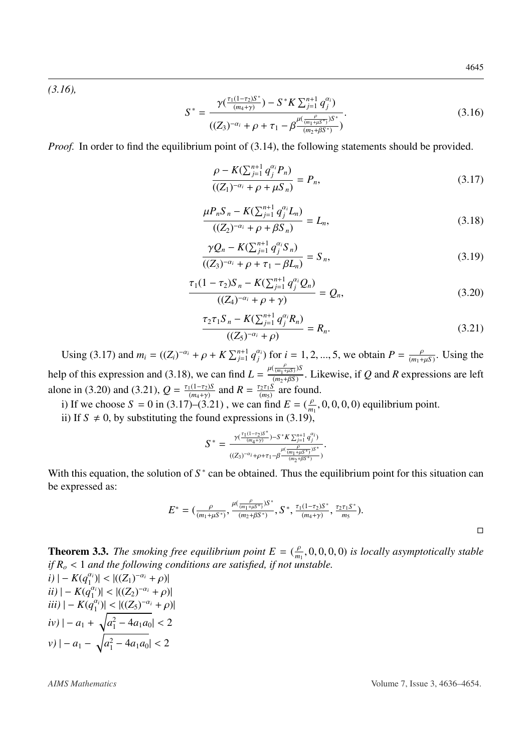*[\(3.16\)](#page-9-0),*

<span id="page-9-0"></span>
$$
S^* = \frac{\gamma(\frac{\tau_1(1-\tau_2)S^*}{(m_4+\gamma)}) - S^*K \sum_{j=1}^{n+1} q_j^{\alpha_i})}{((Z_3)^{-\alpha_i} + \rho + \tau_1 - \beta \frac{\mu(\frac{\rho}{(m_1+\mu S^*)})S^*}{(m_2+\beta S^*)})}.
$$
(3.16)

*Proof.* In order to find the equilibrium point of [\(3.14\)](#page-7-0), the following statements should be provided.

<span id="page-9-1"></span>
$$
\frac{\rho - K(\sum_{j=1}^{n+1} q_j^{\alpha_j} P_n)}{((Z_1)^{-\alpha_i} + \rho + \mu S_n)} = P_n,
$$
\n(3.17)

<span id="page-9-2"></span>
$$
\frac{\mu P_n S_n - K(\sum_{j=1}^{n+1} q_j^{\alpha_j} L_n)}{((Z_2)^{-\alpha_i} + \rho + \beta S_n)} = L_n,
$$
\n(3.18)

<span id="page-9-5"></span>
$$
\frac{\gamma Q_n - K(\sum_{j=1}^{n+1} q_j^{\alpha_i} S_n)}{((Z_3)^{-\alpha_i} + \rho + \tau_1 - \beta L_n)} = S_n,
$$
\n(3.19)

<span id="page-9-3"></span>
$$
\frac{\tau_1(1-\tau_2)S_n - K(\sum_{j=1}^{n+1} q_j^{\alpha_j} Q_n)}{((Z_4)^{-\alpha_i} + \rho + \gamma)} = Q_n,
$$
\n(3.20)

<span id="page-9-4"></span>
$$
\frac{\tau_2 \tau_1 S_n - K(\sum_{j=1}^{n+1} q_j^{\alpha_j} R_n)}{((Z_5)^{-\alpha_i} + \rho)} = R_n.
$$
\n(3.21)

Using [\(3.17\)](#page-9-1) and  $m_i = ((Z_i)^{-\alpha_i} + \rho + K \sum_{j=1}^{n+1} q_j^{\alpha_j})$  for  $i = 1, 2, ..., 5$ , we obtain  $P = \frac{\rho}{(m_1 + \mu S)}$ . Using the help of this expression and [\(3.18\)](#page-9-2), we can find  $L = \frac{\mu(\frac{p}{(m_1+\mu S)})S}{(m_2+\mu S)}$ . Likewise, if *Q* and *R* expressions are left  $(m_2+\beta S)$ <br> $\Gamma$ alone in [\(3.20\)](#page-9-3) and [\(3.21\)](#page-9-4),  $Q = \frac{\tau_1(1-\tau_2)S}{(m_1+\tau_1)}$  $\frac{f_1(1-\tau_2)S}{(m_4+\gamma)}$  and  $R = \frac{\tau_2\tau_1S}{(m_5)}$  are found.

i) If we choose  $S = 0$  in [\(3.17\)](#page-9-1)–[\(3.21\)](#page-9-4), we can find  $E = (\frac{\rho}{m_1}, 0, 0, 0, 0)$  equilibrium point.

ii) If  $S \neq 0$ , by substituting the found expressions in [\(3.19\)](#page-9-5),

$$
S^* = \frac{\gamma(\frac{\tau_1(1-\tau_2)S^*}{(m_4+\gamma)})-S^*K\sum_{j=1}^{n+1}q_j^{\alpha_j})}{((Z_3)^{-\alpha_i}+\rho+\tau_1-\beta\frac{\mu(\frac{\rho}{(m_1+\mu S^*)})S^*}{(m_2+\beta S^*)})}.
$$

With this equation, the solution of  $S^*$  can be obtained. Thus the equilibrium point for this situation can be expressed as:

$$
E^* = (\frac{\rho}{(m_1 + \mu S^*)}, \frac{\mu(\frac{\rho}{(m_1 + \mu S^*)})S^*}{(m_2 + \beta S^*)}, S^*, \frac{\tau_1(1 - \tau_2)S^*}{(m_4 + \gamma)}, \frac{\tau_2\tau_1S^*}{m_S}).
$$

**Theorem 3.3.** *The smoking free equilibrium point*  $E = (\frac{\rho}{m_1}, 0, 0, 0, 0)$  *is locally asymptotically stable*<br>*if*  $R \ge 1$  and the following conditions are satisfied, if not unstable. *if R<sup>o</sup>* <sup>&</sup>lt; <sup>1</sup> *and the following conditions are satisfied, if not unstable.*

$$
i) | - K(q_1^{\alpha_i})| < |((Z_1)^{-\alpha_i} + \rho)|
$$
  
\n
$$
ii) | - K(q_1^{\alpha_i})| < |((Z_2)^{-\alpha_i} + \rho)|
$$
  
\n
$$
iii) | - K(q_1^{\alpha_i})| < |((Z_5)^{-\alpha_i} + \rho)|
$$
  
\n
$$
iv) | - a_1 + \sqrt{a_1^2 - 4a_1a_0} < 2
$$
  
\n
$$
v) | - a_1 - \sqrt{a_1^2 - 4a_1a_0} < 2
$$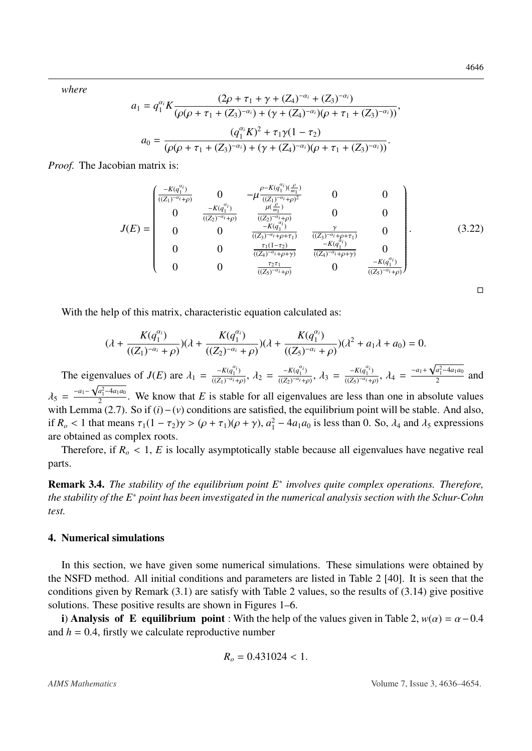*where*

$$
a_1 = q_1^{\alpha_i} K \frac{(2\rho + \tau_1 + \gamma + (Z_4)^{-\alpha_i} + (Z_3)^{-\alpha_i})}{(\rho(\rho + \tau_1 + (Z_3)^{-\alpha_i}) + (\gamma + (Z_4)^{-\alpha_i})(\rho + \tau_1 + (Z_3)^{-\alpha_i}))},
$$

$$
a_0 = \frac{(q_1^{\alpha_i} K)^2 + \tau_1 \gamma (1 - \tau_2)}{(\rho(\rho + \tau_1 + (Z_3)^{-\alpha_i}) + (\gamma + (Z_4)^{-\alpha_i})(\rho + \tau_1 + (Z_3)^{-\alpha_i}))}.
$$

*Proof.* The Jacobian matrix is:

$$
J(E) = \begin{pmatrix} \frac{-K(q_1^{a_1})}{((Z_1)^{-a_1} + \rho)} & 0 & -\mu \frac{\rho - K(q_1^{a_1})(\frac{\rho}{m_1})}{((Z_1)^{-a_1} + \rho)^2} & 0 & 0\\ 0 & \frac{-K(q_1^{a_1})}{((Z_2)^{-a_1} + \rho)} & \frac{\mu(\frac{\rho}{m_1})}{((Z_2)^{-a_1} + \rho)} & 0 & 0\\ 0 & 0 & \frac{-K(q_1^{a_1})}{((Z_2)^{-a_1} + \rho + \tau_1)} & \frac{\gamma}{((Z_3)^{-a_1} + \rho + \tau_1)} & 0\\ 0 & 0 & \frac{\tau_1(1-\tau_2)}{((Z_4)^{-a_1} + \rho + \gamma)} & \frac{-K(q_1^{a_1})}{((Z_4)^{-a_1} + \rho + \gamma)} & 0\\ 0 & 0 & \frac{\tau_2 \tau_1}{((Z_5)^{-a_1} + \rho)} & 0 & \frac{-K(q_1^{a_1})}{((Z_5)^{-a_1} + \rho)} \end{pmatrix}.
$$
(3.22)

With the help of this matrix, characteristic equation calculated as:

$$
(\lambda + \frac{K(q_1^{\alpha_i})}{((Z_1)^{-\alpha_i} + \rho)}) (\lambda + \frac{K(q_1^{\alpha_i})}{((Z_2)^{-\alpha_i} + \rho)}) (\lambda + \frac{K(q_1^{\alpha_i})}{((Z_5)^{-\alpha_i} + \rho)}) (\lambda^2 + a_1 \lambda + a_0) = 0.
$$

The eigenvalues of  $J(E)$  are  $\lambda_1 = \frac{-K(q_1^{a_1})}{((Z_1)^{-a_1} + K_1)}$  $\frac{-K(q_1^{\alpha_i})}{((Z_1)^{-\alpha_i}+\rho)}, \ \lambda_2 = \frac{-K(q_1^{\alpha_i})}{((Z_2)^{-\alpha_i}+\rho)}$  $\frac{-K(q_1^{\alpha_i})}{((Z_2)^{-\alpha_i}+\rho)}, \ \lambda_3 = \frac{-K(q_1^{\alpha_i})}{((Z_5)^{-\alpha_i}+\rho)}$  $\frac{-K(q_1^{\alpha_i})}{((Z_5)^{-\alpha_i}+\rho)}, \lambda_4 = \frac{-a_1+}{\rho}$  $\sqrt{a_1^2 - 4a_1a_0}$ genvalues of  $J(E)$  are  $\lambda_1 = \frac{-\kappa(q_1)}{((Z_1)^{-\alpha_1}+\rho)}, \lambda_2 = \frac{-\kappa(q_1)}{((Z_2)^{-\alpha_1}+\rho)}, \lambda_3 = \frac{-\kappa(q_1)}{((Z_5)^{-\alpha_1}+\rho)}, \lambda_4 = \frac{-\kappa(q_1 - \kappa(q_1 - \kappa_1))}{2}$  and  $\lambda_5 = \frac{-a_1 - \sqrt{a_1^2 - 4a_1a_0}}{2}$ <br>with Lamma (2.7)  $\frac{24}{2}$ . We know that *E* is stable for all eigenvalues are less than one in absolute values with Lemma [\(2.7\)](#page-3-4). So if (*i*)−(*v*) conditions are satisfied, the equilibrium point will be stable. And also, if  $R_o < 1$  that means  $\tau_1(1 - \tau_2)\gamma > (\rho + \tau_1)(\rho + \gamma)$ ,  $a_1^2 - 4a_1a_0$  is less than 0. So,  $\lambda_4$  and  $\lambda_5$  expressions are obtained as complex roots.

Therefore, if  $R<sub>o</sub> < 1$ , *E* is locally asymptotically stable because all eigenvalues have negative real parts.

Remark 3.4. *The stability of the equilibrium point E*<sup>∗</sup> *involves quite complex operations. Therefore, the stability of the E*<sup>∗</sup> *point has been investigated in the numerical analysis section with the Schur-Cohn test.*

### 4. Numerical simulations

In this section, we have given some numerical simulations. These simulations were obtained by the NSFD method. All initial conditions and parameters are listed in Table [2](#page-11-0) [\[40\]](#page-18-3). It is seen that the conditions given by Remark [\(3.1\)](#page-8-0) are satisfy with Table [2](#page-11-0) values, so the results of [\(3.14\)](#page-7-0) give positive solutions. These positive results are shown in Figures [1](#page-12-0)[–6.](#page-14-0)

i) Analysis of E equilibrium point : With the help of the values given in Table [2,](#page-11-0)  $w(\alpha) = \alpha - 0.4$ and  $h = 0.4$ , firstly we calculate reproductive number

$$
R_o = 0.431024 < 1.
$$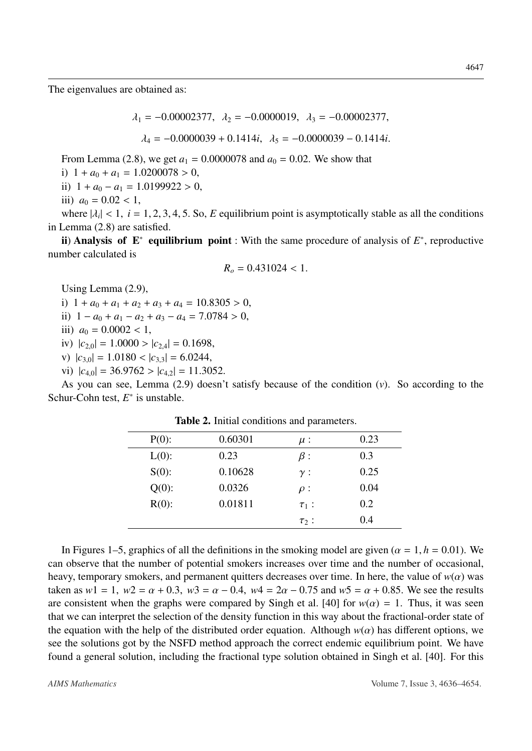The eigenvalues are obtained as:

$$
\lambda_1 = -0.00002377, \ \lambda_2 = -0.0000019, \ \lambda_3 = -0.00002377,
$$

$$
\lambda_4 = -0.0000039 + 0.1414i, \ \lambda_5 = -0.0000039 - 0.1414i.
$$

From Lemma [\(2.8\)](#page-4-0), we get  $a_1 = 0.0000078$  and  $a_0 = 0.02$ . We show that

i)  $1 + a_0 + a_1 = 1.0200078 > 0$ ,

ii)  $1 + a_0 - a_1 = 1.0199922 > 0$ ,

iii)  $a_0 = 0.02 < 1$ ,

where  $|\lambda_i| < 1$ ,  $i = 1, 2, 3, 4, 5$ . So, *E* equilibrium point is asymptotically stable as all the conditions  $\lim_{n \to \infty} (2.8)$  are satisfied in Lemma [\(2.8\)](#page-4-0) are satisfied.

ii) Analysis of  $E^*$  equilibrium point : With the same procedure of analysis of  $E^*$ , reproductive number calculated is

$$
R_o = 0.431024 < 1.
$$

Using Lemma [\(2.9\)](#page-4-1),

i)  $1 + a_0 + a_1 + a_2 + a_3 + a_4 = 10.8305 > 0$ ,

ii)  $1 - a_0 + a_1 - a_2 + a_3 - a_4 = 7.0784 > 0$ ,

- iii)  $a_0 = 0.0002 < 1$ ,
- iv)  $|c_{2,0}| = 1.0000 > |c_{2,4}| = 0.1698$ ,
- v)  $|c_{3,0}| = 1.0180 < |c_{3,3}| = 6.0244$ ,
- vi)  $|c_{4,0}| = 36.9762 > |c_{4,2}| = 11.3052$ .

<span id="page-11-0"></span>As you can see, Lemma [\(2.9\)](#page-4-1) doesn't satisfy because of the condition (*v*). So according to the Schur-Cohn test,  $E^*$  is unstable.

| $P(0)$ : | 0.60301 | $\mu$ :    | 0.23 |
|----------|---------|------------|------|
| $L(0)$ : | 0.23    | $\beta$ :  | 0.3  |
| $S(0)$ : | 0.10628 | $\gamma$ : | 0.25 |
| $Q(0)$ : | 0.0326  | $\rho$ :   | 0.04 |
| $R(0)$ : | 0.01811 | $\tau_1$ : | 0.2  |
|          |         | $\tau_2$ : | 0.4  |
|          |         |            |      |

Table 2. Initial conditions and parameters.

In Figures [1](#page-12-0)[–5,](#page-13-0) graphics of all the definitions in the smoking model are given ( $\alpha = 1, h = 0.01$ ). We can observe that the number of potential smokers increases over time and the number of occasional, heavy, temporary smokers, and permanent quitters decreases over time. In here, the value of  $w(\alpha)$  was taken as  $w1 = 1$ ,  $w2 = \alpha + 0.3$ ,  $w3 = \alpha - 0.4$ ,  $w4 = 2\alpha - 0.75$  and  $w5 = \alpha + 0.85$ . We see the results are consistent when the graphs were compared by Singh et al. [\[40\]](#page-18-3) for  $w(\alpha) = 1$ . Thus, it was seen that we can interpret the selection of the density function in this way about the fractional-order state of the equation with the help of the distributed order equation. Although  $w(\alpha)$  has different options, we see the solutions got by the NSFD method approach the correct endemic equilibrium point. We have found a general solution, including the fractional type solution obtained in Singh et al. [\[40\]](#page-18-3). For this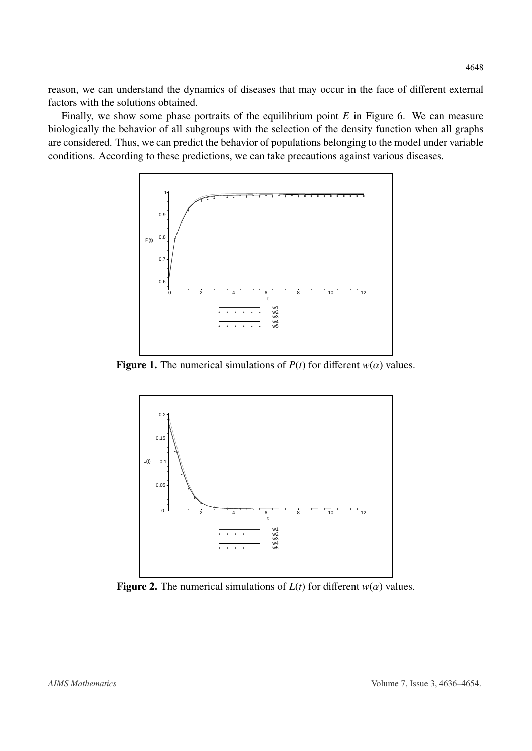reason, we can understand the dynamics of diseases that may occur in the face of different external factors with the solutions obtained.

<span id="page-12-0"></span>Finally, we show some phase portraits of the equilibrium point *E* in Figure [6.](#page-14-0) We can measure biologically the behavior of all subgroups with the selection of the density function when all graphs are considered. Thus, we can predict the behavior of populations belonging to the model under variable conditions. According to these predictions, we can take precautions against various diseases.



**Figure 1.** The numerical simulations of  $P(t)$  for different  $w(\alpha)$  values.



**Figure 2.** The numerical simulations of  $L(t)$  for different  $w(\alpha)$  values.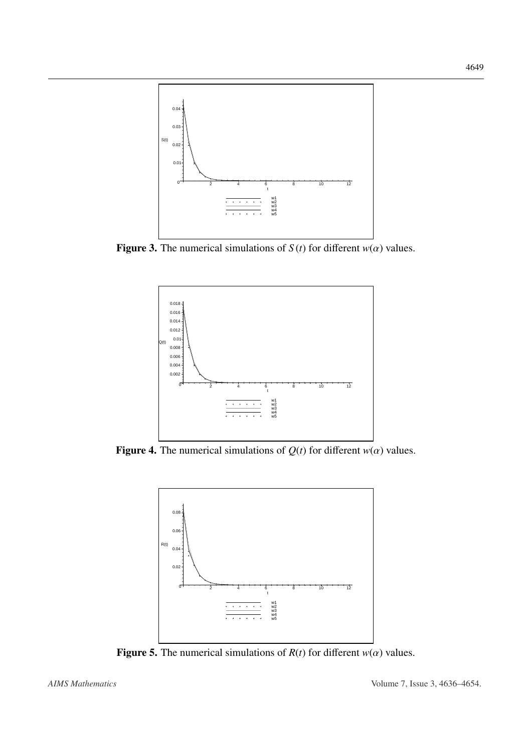

**Figure 3.** The numerical simulations of  $S(t)$  for different  $w(\alpha)$  values.



<span id="page-13-0"></span>Figure 4. The numerical simulations of  $Q(t)$  for different  $w(\alpha)$  values.



Figure 5. The numerical simulations of  $R(t)$  for different  $w(\alpha)$  values.

4649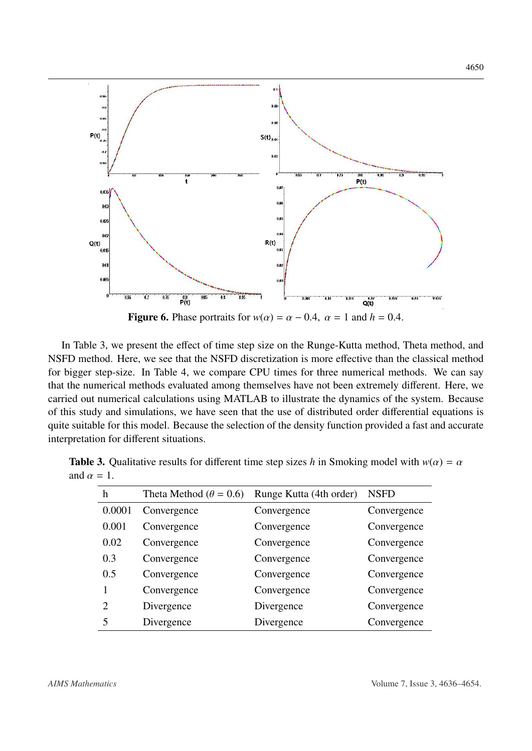<span id="page-14-0"></span>

In Table [3,](#page-14-1) we present the effect of time step size on the Runge-Kutta method, Theta method, and NSFD method. Here, we see that the NSFD discretization is more effective than the classical method for bigger step-size. In Table [4,](#page-15-4) we compare CPU times for three numerical methods. We can say that the numerical methods evaluated among themselves have not been extremely different. Here, we carried out numerical calculations using MATLAB to illustrate the dynamics of the system. Because of this study and simulations, we have seen that the use of distributed order differential equations is quite suitable for this model. Because the selection of the density function provided a fast and accurate interpretation for different situations.

| h                           | Theta Method ( $\theta = 0.6$ ) | Runge Kutta (4th order) | <b>NSFD</b> |
|-----------------------------|---------------------------------|-------------------------|-------------|
| 0.0001                      | Convergence                     | Convergence             | Convergence |
| 0.001                       | Convergence                     | Convergence             | Convergence |
| 0.02                        | Convergence                     | Convergence             | Convergence |
| 0.3                         | Convergence                     | Convergence             | Convergence |
| 0.5                         | Convergence                     | Convergence             | Convergence |
|                             | Convergence                     | Convergence             | Convergence |
| $\mathcal{D}_{\mathcal{L}}$ | Divergence                      | Divergence              | Convergence |
| 5                           | Divergence                      | Divergence              | Convergence |

<span id="page-14-1"></span>**Table 3.** Qualitative results for different time step sizes *h* in Smoking model with  $w(\alpha) = \alpha$ and  $\alpha = 1$ .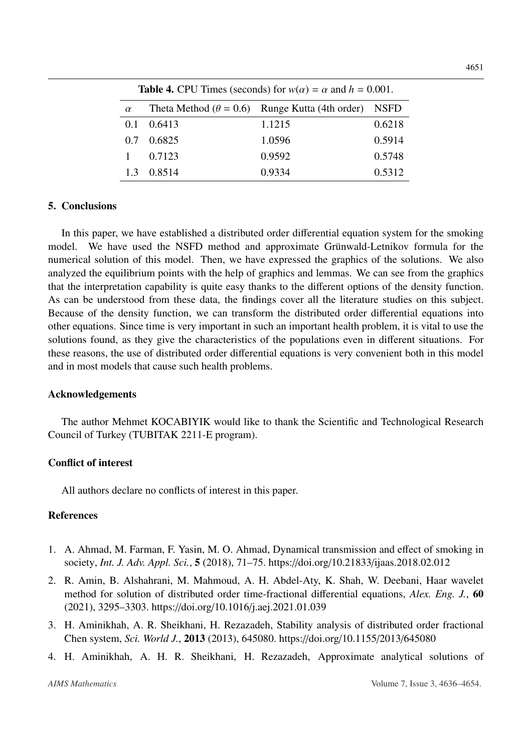<span id="page-15-4"></span>

| <b>Table 4.</b> CPU Times (seconds) for $w(\alpha) = \alpha$ and $h = 0.001$ . |        |                                                              |        |  |
|--------------------------------------------------------------------------------|--------|--------------------------------------------------------------|--------|--|
| $\alpha$                                                                       |        | Theta Method ( $\theta = 0.6$ ) Runge Kutta (4th order) NSFD |        |  |
| 0.1                                                                            | 0.6413 | 1.1215                                                       | 0.6218 |  |
| 0.7                                                                            | 0.6825 | 1.0596                                                       | 0.5914 |  |
|                                                                                | 0.7123 | 0.9592                                                       | 0.5748 |  |
| 1.3                                                                            | 0.8514 | 0.9334                                                       | 0.5312 |  |

### 5. Conclusions

In this paper, we have established a distributed order differential equation system for the smoking model. We have used the NSFD method and approximate Grünwald-Letnikov formula for the numerical solution of this model. Then, we have expressed the graphics of the solutions. We also analyzed the equilibrium points with the help of graphics and lemmas. We can see from the graphics that the interpretation capability is quite easy thanks to the different options of the density function. As can be understood from these data, the findings cover all the literature studies on this subject. Because of the density function, we can transform the distributed order differential equations into other equations. Since time is very important in such an important health problem, it is vital to use the solutions found, as they give the characteristics of the populations even in different situations. For these reasons, the use of distributed order differential equations is very convenient both in this model and in most models that cause such health problems.

### Acknowledgements

The author Mehmet KOCABIYIK would like to thank the Scientific and Technological Research Council of Turkey (TUBITAK 2211-E program).

### Conflict of interest

All authors declare no conflicts of interest in this paper.

# **References**

- <span id="page-15-3"></span>1. A. Ahmad, M. Farman, F. Yasin, M. O. Ahmad, Dynamical transmission and effect of smoking in society, *Int. J. Adv. Appl. Sci.*, 5 (2018), 71–75. https://doi.org/10.21833/[ijaas.2018.02.012](http://dx.doi.org/https://doi.org/10.21833/ijaas.2018.02.012)
- <span id="page-15-2"></span>2. R. Amin, B. Alshahrani, M. Mahmoud, A. H. Abdel-Aty, K. Shah, W. Deebani, Haar wavelet method for solution of distributed order time-fractional differential equations, *Alex. Eng. J.*, 60 (2021), 3295–3303. https://doi.org/10.1016/[j.aej.2021.01.039](http://dx.doi.org/https://doi.org/10.1016/j.aej.2021.01.039)
- <span id="page-15-0"></span>3. H. Aminikhah, A. R. Sheikhani, H. Rezazadeh, Stability analysis of distributed order fractional Chen system, *Sci. World J.*, 2013 (2013), 645080. https://doi.org/[10.1155](http://dx.doi.org/https://doi.org/10.1155/2013/645080)/2013/645080
- <span id="page-15-1"></span>4. H. Aminikhah, A. H. R. Sheikhani, H. Rezazadeh, Approximate analytical solutions of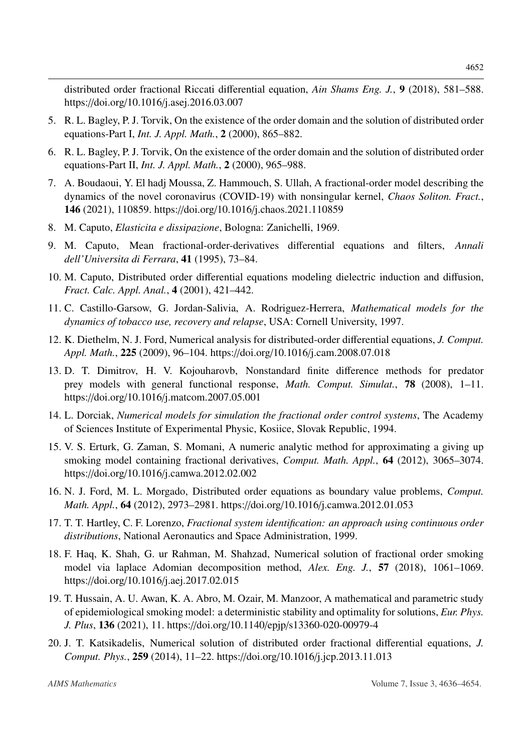distributed order fractional Riccati differential equation, *Ain Shams Eng. J.*, 9 (2018), 581–588. https://doi.org/10.1016/[j.asej.2016.03.007](http://dx.doi.org/https://doi.org/10.1016/j.asej.2016.03.007)

- <span id="page-16-3"></span>5. R. L. Bagley, P. J. Torvik, On the existence of the order domain and the solution of distributed order equations-Part I, *Int. J. Appl. Math.*, 2 (2000), 865–882.
- <span id="page-16-4"></span>6. R. L. Bagley, P. J. Torvik, On the existence of the order domain and the solution of distributed order equations-Part II, *Int. J. Appl. Math.*, 2 (2000), 965–988.
- <span id="page-16-13"></span>7. A. Boudaoui, Y. El hadj Moussa, Z. Hammouch, S. Ullah, A fractional-order model describing the dynamics of the novel coronavirus (COVID-19) with nonsingular kernel, *Chaos Soliton. Fract.*, 146 (2021), 110859. https://doi.org/10.1016/[j.chaos.2021.110859](http://dx.doi.org/https://doi.org/10.1016/j.chaos.2021.110859)
- <span id="page-16-0"></span>8. M. Caputo, *Elasticita e dissipazione*, Bologna: Zanichelli, 1969.
- <span id="page-16-1"></span>9. M. Caputo, Mean fractional-order-derivatives differential equations and filters, *Annali dell'Universita di Ferrara*, 41 (1995), 73–84.
- <span id="page-16-5"></span>10. M. Caputo, Distributed order differential equations modeling dielectric induction and diffusion, *Fract. Calc. Appl. Anal.*, 4 (2001), 421–442.
- <span id="page-16-9"></span>11. C. Castillo-Garsow, G. Jordan-Salivia, A. Rodriguez-Herrera, *Mathematical models for the dynamics of tobacco use, recovery and relapse*, USA: Cornell University, 1997.
- <span id="page-16-8"></span>12. K. Diethelm, N. J. Ford, Numerical analysis for distributed-order differential equations, *J. Comput. Appl. Math.*, 225 (2009), 96–104. https://doi.org/10.1016/[j.cam.2008.07.018](http://dx.doi.org/https://doi.org/10.1016/j.cam.2008.07.018)
- <span id="page-16-15"></span>13. D. T. Dimitrov, H. V. Kojouharovb, Nonstandard finite difference methods for predator prey models with general functional response, *Math. Comput. Simulat.*, 78 (2008), 1–11. https://doi.org/10.1016/[j.matcom.2007.05.001](http://dx.doi.org/https://doi.org/10.1016/j.matcom.2007.05.001)
- <span id="page-16-14"></span>14. L. Dorciak, *Numerical models for simulation the fractional order control systems*, The Academy of Sciences Institute of Experimental Physic, Kosiice, Slovak Republic, 1994.
- <span id="page-16-10"></span>15. V. S. Erturk, G. Zaman, S. Momani, A numeric analytic method for approximating a giving up smoking model containing fractional derivatives, *Comput. Math. Appl.*, 64 (2012), 3065–3074. https://doi.org/10.1016/[j.camwa.2012.02.002](http://dx.doi.org/https://doi.org/10.1016/j.camwa.2012.02.002)
- <span id="page-16-6"></span>16. N. J. Ford, M. L. Morgado, Distributed order equations as boundary value problems, *Comput. Math. Appl.*, 64 (2012), 2973–2981. https://doi.org/10.1016/[j.camwa.2012.01.053](http://dx.doi.org/https://doi.org/10.1016/j.camwa.2012.01.053)
- <span id="page-16-2"></span>17. T. T. Hartley, C. F. Lorenzo, *Fractional system identification: an approach using continuous order distributions*, National Aeronautics and Space Administration, 1999.
- <span id="page-16-11"></span>18. F. Haq, K. Shah, G. ur Rahman, M. Shahzad, Numerical solution of fractional order smoking model via laplace Adomian decomposition method, *Alex. Eng. J.*, 57 (2018), 1061–1069. https://doi.org/10.1016/[j.aej.2017.02.015](http://dx.doi.org/https://doi.org/10.1016/j.aej.2017.02.015)
- <span id="page-16-12"></span>19. T. Hussain, A. U. Awan, K. A. Abro, M. Ozair, M. Manzoor, A mathematical and parametric study of epidemiological smoking model: a deterministic stability and optimality for solutions, *Eur. Phys. J. Plus*, 136 (2021), 11. https://doi.org/10.1140/epjp/[s13360-020-00979-4](http://dx.doi.org/https://doi.org/10.1140/epjp/s13360-020-00979-4)
- <span id="page-16-7"></span>20. J. T. Katsikadelis, Numerical solution of distributed order fractional differential equations, *J. Comput. Phys.*, 259 (2014), 11–22. https://doi.org/10.1016/[j.jcp.2013.11.013](http://dx.doi.org/https://doi.org/10.1016/j.jcp.2013.11.013)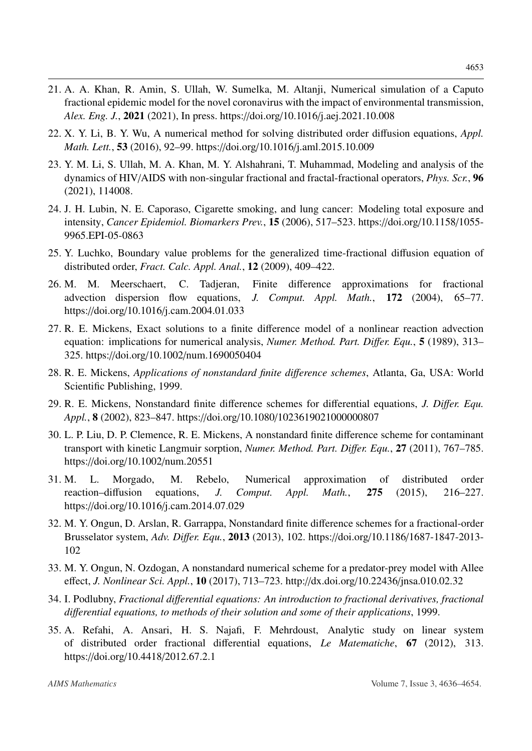- <span id="page-17-5"></span>21. A. A. Khan, R. Amin, S. Ullah, W. Sumelka, M. Altanji, Numerical simulation of a Caputo fractional epidemic model for the novel coronavirus with the impact of environmental transmission, *Alex. Eng. J.*, 2021 (2021), In press. https://doi.org/10.1016/[j.aej.2021.10.008](http://dx.doi.org/https://doi.org/10.1016/j.aej.2021.10.008)
- <span id="page-17-2"></span>22. X. Y. Li, B. Y. Wu, A numerical method for solving distributed order diffusion equations, *Appl. Math. Lett.*, 53 (2016), 92–99. https://doi.org/10.1016/[j.aml.2015.10.009](http://dx.doi.org/https://doi.org/10.1016/j.aml.2015.10.009)
- <span id="page-17-6"></span>23. Y. M. Li, S. Ullah, M. A. Khan, M. Y. Alshahrani, T. Muhammad, Modeling and analysis of the dynamics of HIV/AIDS with non-singular fractional and fractal-fractional operators, *Phys. Scr.*, 96 (2021), 114008.
- <span id="page-17-4"></span>24. J. H. Lubin, N. E. Caporaso, Cigarette smoking, and lung cancer: Modeling total exposure and intensity, *Cancer Epidemiol. Biomarkers Prev.*, 15 (2006), 517–523. https://doi.org/[10.1158](http://dx.doi.org/https://doi.org/10.1158/1055-9965.EPI-05-0863)/1055- [9965.EPI-05-0863](http://dx.doi.org/https://doi.org/10.1158/1055-9965.EPI-05-0863)
- <span id="page-17-0"></span>25. Y. Luchko, Boundary value problems for the generalized time-fractional diffusion equation of distributed order, *Fract. Calc. Appl. Anal.*, 12 (2009), 409–422.
- <span id="page-17-8"></span>26. M. M. Meerschaert, C. Tadjeran, Finite difference approximations for fractional advection dispersion flow equations, *J. Comput. Appl. Math.*, 172 (2004), 65–77. https://doi.org/10.1016/[j.cam.2004.01.033](http://dx.doi.org/https://doi.org/10.1016/j.cam.2004.01.033)
- <span id="page-17-11"></span>27. R. E. Mickens, Exact solutions to a finite difference model of a nonlinear reaction advection equation: implications for numerical analysis, *Numer. Method. Part. Di*ff*er. Equ.*, 5 (1989), 313– 325. https://doi.org/10.1002/[num.1690050404](http://dx.doi.org/https://doi.org/10.1002/num.1690050404)
- <span id="page-17-14"></span>28. R. E. Mickens, *Applications of nonstandard finite di*ff*erence schemes*, Atlanta, Ga, USA: World Scientific Publishing, 1999.
- <span id="page-17-12"></span>29. R. E. Mickens, Nonstandard finite difference schemes for differential equations, *J. Di*ff*er. Equ. Appl.*, 8 (2002), 823–847. https://doi.org/10.1080/[1023619021000000807](http://dx.doi.org/https://doi.org/10.1080/1023619021000000807)
- <span id="page-17-9"></span>30. L. P. Liu, D. P. Clemence, R. E. Mickens, A nonstandard finite difference scheme for contaminant transport with kinetic Langmuir sorption, *Numer. Method. Part. Di*ff*er. Equ.*, 27 (2011), 767–785. https://doi.org/10.1002/[num.20551](http://dx.doi.org/https://doi.org/10.1002/num.20551)
- <span id="page-17-3"></span>31. M. L. Morgado, M. Rebelo, Numerical approximation of distributed order reaction–diffusion equations, *J. Comput. Appl. Math.*, 275 (2015), 216–227. https://doi.org/10.1016/[j.cam.2014.07.029](http://dx.doi.org/https://doi.org/10.1016/j.cam.2014.07.029)
- <span id="page-17-13"></span>32. M. Y. Ongun, D. Arslan, R. Garrappa, Nonstandard finite difference schemes for a fractional-order Brusselator system, *Adv. Di*ff*er. Equ.*, 2013 (2013), 102. https://doi.org/10.1186/[1687-1847-2013-](http://dx.doi.org/https://doi.org/10.1186/1687-1847-2013-102) [102](http://dx.doi.org/https://doi.org/10.1186/1687-1847-2013-102)
- <span id="page-17-10"></span>33. M. Y. Ongun, N. Ozdogan, A nonstandard numerical scheme for a predator-prey model with Allee effect, *J. Nonlinear Sci. Appl.*, 10 (2017), 713–723. http://dx.doi.org/10.22436/[jnsa.010.02.32](http://dx.doi.org/http://dx.doi.org/10.22436/jnsa.010.02.32)
- <span id="page-17-7"></span>34. I. Podlubny, *Fractional di*ff*erential equations: An introduction to fractional derivatives, fractional di*ff*erential equations, to methods of their solution and some of their applications*, 1999.
- <span id="page-17-1"></span>35. A. Refahi, A. Ansari, H. S. Najafi, F. Mehrdoust, Analytic study on linear system of distributed order fractional differential equations, *Le Matematiche*, 67 (2012), 313. https://doi.org/10.4418/[2012.67.2.1](http://dx.doi.org/https://doi.org/10.4418/2012.67.2.1)